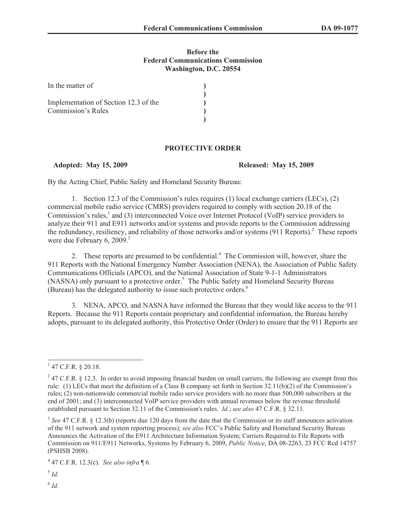## **Before the Federal Communications Commission Washington, D.C. 20554**

| In the matter of                      |  |
|---------------------------------------|--|
|                                       |  |
| Implementation of Section 12.3 of the |  |
| Commission's Rules                    |  |
|                                       |  |

## **PROTECTIVE ORDER**

**Adopted: May 15, 2009 Released: May 15, 2009**

By the Acting Chief, Public Safety and Homeland Security Bureau:

1. Section 12.3 of the Commission's rules requires (1) local exchange carriers (LECs), (2) commercial mobile radio service (CMRS) providers required to comply with section 20.18 of the Commission's rules,<sup>1</sup> and (3) interconnected Voice over Internet Protocol (VoIP) service providers to analyze their 911 and E911 networks and/or systems and provide reports to the Commission addressing the redundancy, resiliency, and reliability of those networks and/or systems (911 Reports).<sup>2</sup> These reports were due February 6, 2009.<sup>3</sup>

2. These reports are presumed to be confidential.<sup>4</sup> The Commission will, however, share the 911 Reports with the National Emergency Number Association (NENA), the Association of Public Safety Communications Officials (APCO), and the National Association of State 9-1-1 Administrators (NASNA) only pursuant to a protective order.<sup>5</sup> The Public Safety and Homeland Security Bureau (Bureau) has the delegated authority to issue such protective orders.<sup>6</sup>

3. NENA, APCO, and NASNA have informed the Bureau that they would like access to the 911 Reports. Because the 911 Reports contain proprietary and confidential information, the Bureau hereby adopts, pursuant to its delegated authority, this Protective Order (Order) to ensure that the 911 Reports are

 $1$  47 C.F.R. § 20.18.

 $247$  C.F.R. § 12.3. In order to avoid imposing financial burden on small carriers, the following are exempt from this rule: (1) LECs that meet the definition of a Class B company set forth in Section 32.11(b)(2) of the Commission's rules; (2) non-nationwide commercial mobile radio service providers with no more than 500,000 subscribers at the end of 2001; and (3) interconnected VoIP service providers with annual revenues below the revenue threshold established pursuant to Section 32.11 of the Commission's rules. *Id.*; *see also* 47 C.F.R. § 32.11.

<sup>&</sup>lt;sup>3</sup> See 47 C.F.R. § 12.3(b) (reports due 120 days from the date that the Commission or its staff announces activation of the 911 network and system reporting process); *see also* FCC's Public Safety and Homeland Security Bureau Announces the Activation of the E911 Architecture Information System; Carriers Required to File Reports with Commission on 911/E911 Networks, Systems by February 6, 2009, *Public Notice*, DA 08-2263, 23 FCC Rcd 14757 (PSHSB 2008).

<sup>4</sup> 47 C.F.R. 12.3(c). *See also infra* ¶ 6.

<sup>5</sup> *Id.*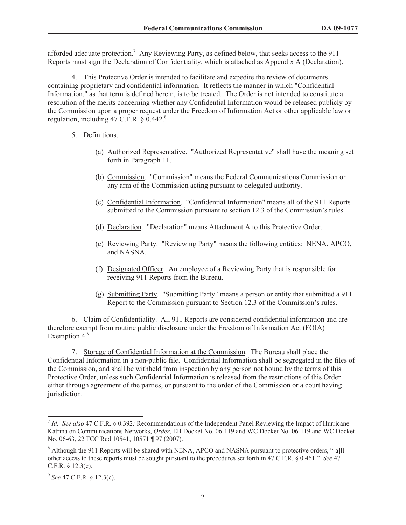afforded adequate protection.<sup>7</sup> Any Reviewing Party, as defined below, that seeks access to the 911 Reports must sign the Declaration of Confidentiality, which is attached as Appendix A (Declaration).

4. This Protective Order is intended to facilitate and expedite the review of documents containing proprietary and confidential information. It reflects the manner in which "Confidential Information," as that term is defined herein, is to be treated. The Order is not intended to constitute a resolution of the merits concerning whether any Confidential Information would be released publicly by the Commission upon a proper request under the Freedom of Information Act or other applicable law or regulation, including  $47 \text{ C.F.R.}$  § 0.442.<sup>8</sup>

- 5. Definitions.
	- (a) Authorized Representative. "Authorized Representative" shall have the meaning set forth in Paragraph 11.
	- (b) Commission. "Commission" means the Federal Communications Commission or any arm of the Commission acting pursuant to delegated authority.
	- (c) Confidential Information. "Confidential Information" means all of the 911 Reports submitted to the Commission pursuant to section 12.3 of the Commission's rules.
	- (d) Declaration. "Declaration" means Attachment A to this Protective Order.
	- (e) Reviewing Party. "Reviewing Party" means the following entities: NENA, APCO, and NASNA.
	- (f) Designated Officer. An employee of a Reviewing Party that is responsible for receiving 911 Reports from the Bureau.
	- (g) Submitting Party. "Submitting Party" means a person or entity that submitted a 911 Report to the Commission pursuant to Section 12.3 of the Commission's rules.

6. Claim of Confidentiality. All 911 Reports are considered confidential information and are therefore exempt from routine public disclosure under the Freedom of Information Act (FOIA) Exemption  $4.9$ 

7. Storage of Confidential Information at the Commission. The Bureau shall place the Confidential Information in a non-public file. Confidential Information shall be segregated in the files of the Commission, and shall be withheld from inspection by any person not bound by the terms of this Protective Order, unless such Confidential Information is released from the restrictions of this Order either through agreement of the parties, or pursuant to the order of the Commission or a court having jurisdiction.

<sup>7</sup> *Id. See also* 47 C.F.R. § 0.392*;* Recommendations of the Independent Panel Reviewing the Impact of Hurricane Katrina on Communications Networks, *Order*, EB Docket No. 06-119 and WC Docket No. 06-119 and WC Docket No. 06-63, 22 FCC Rcd 10541, 10571 ¶ 97 (2007).

<sup>&</sup>lt;sup>8</sup> Although the 911 Reports will be shared with NENA, APCO and NASNA pursuant to protective orders, "[a]ll other access to these reports must be sought pursuant to the procedures set forth in 47 C.F.R. § 0.461." *See* 47 C.F.R. § 12.3(c).

<sup>9</sup> *See* 47 C.F.R. § 12.3(c).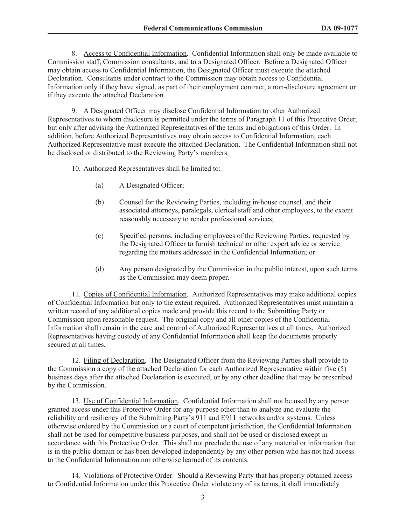8. Access to Confidential Information. Confidential Information shall only be made available to Commission staff, Commission consultants, and to a Designated Officer. Before a Designated Officer may obtain access to Confidential Information, the Designated Officer must execute the attached Declaration. Consultants under contract to the Commission may obtain access to Confidential Information only if they have signed, as part of their employment contract, a non-disclosure agreement or if they execute the attached Declaration.

9. A Designated Officer may disclose Confidential Information to other Authorized Representatives to whom disclosure is permitted under the terms of Paragraph 11 of this Protective Order, but only after advising the Authorized Representatives of the terms and obligations of this Order. In addition, before Authorized Representatives may obtain access to Confidential Information, each Authorized Representative must execute the attached Declaration. The Confidential Information shall not be disclosed or distributed to the Reviewing Party's members.

10. Authorized Representatives shall be limited to:

- (a) A Designated Officer;
- (b) Counsel for the Reviewing Parties, including in-house counsel, and their associated attorneys, paralegals, clerical staff and other employees, to the extent reasonably necessary to render professional services;
- (c) Specified persons, including employees of the Reviewing Parties, requested by the Designated Officer to furnish technical or other expert advice or service regarding the matters addressed in the Confidential Information; or
- (d) Any person designated by the Commission in the public interest, upon such terms as the Commission may deem proper.

11. Copies of Confidential Information. Authorized Representatives may make additional copies of Confidential Information but only to the extent required. Authorized Representatives must maintain a written record of any additional copies made and provide this record to the Submitting Party or Commission upon reasonable request. The original copy and all other copies of the Confidential Information shall remain in the care and control of Authorized Representatives at all times. Authorized Representatives having custody of any Confidential Information shall keep the documents properly secured at all times.

12. Filing of Declaration. The Designated Officer from the Reviewing Parties shall provide to the Commission a copy of the attached Declaration for each Authorized Representative within five (5) business days after the attached Declaration is executed, or by any other deadline that may be prescribed by the Commission.

13. Use of Confidential Information. Confidential Information shall not be used by any person granted access under this Protective Order for any purpose other than to analyze and evaluate the reliability and resiliency of the Submitting Party's 911 and E911 networks and/or systems. Unless otherwise ordered by the Commission or a court of competent jurisdiction, the Confidential Information shall not be used for competitive business purposes, and shall not be used or disclosed except in accordance with this Protective Order. This shall not preclude the use of any material or information that is in the public domain or has been developed independently by any other person who has not had access to the Confidential Information nor otherwise learned of its contents.

14. Violations of Protective Order. Should a Reviewing Party that has properly obtained access to Confidential Information under this Protective Order violate any of its terms, it shall immediately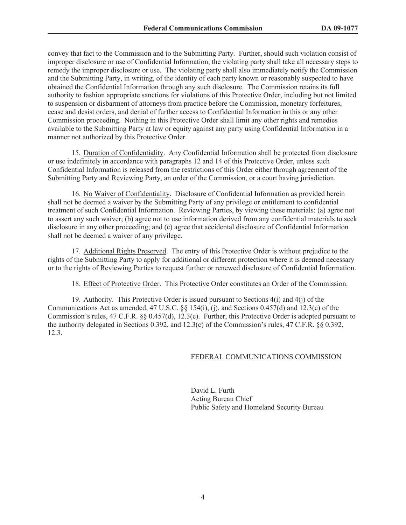convey that fact to the Commission and to the Submitting Party. Further, should such violation consist of improper disclosure or use of Confidential Information, the violating party shall take all necessary steps to remedy the improper disclosure or use. The violating party shall also immediately notify the Commission and the Submitting Party, in writing, of the identity of each party known or reasonably suspected to have obtained the Confidential Information through any such disclosure. The Commission retains its full authority to fashion appropriate sanctions for violations of this Protective Order, including but not limited to suspension or disbarment of attorneys from practice before the Commission, monetary forfeitures, cease and desist orders, and denial of further access to Confidential Information in this or any other Commission proceeding. Nothing in this Protective Order shall limit any other rights and remedies available to the Submitting Party at law or equity against any party using Confidential Information in a manner not authorized by this Protective Order.

15. Duration of Confidentiality. Any Confidential Information shall be protected from disclosure or use indefinitely in accordance with paragraphs 12 and 14 of this Protective Order, unless such Confidential Information is released from the restrictions of this Order either through agreement of the Submitting Party and Reviewing Party, an order of the Commission, or a court having jurisdiction.

16. No Waiver of Confidentiality. Disclosure of Confidential Information as provided herein shall not be deemed a waiver by the Submitting Party of any privilege or entitlement to confidential treatment of such Confidential Information. Reviewing Parties, by viewing these materials: (a) agree not to assert any such waiver; (b) agree not to use information derived from any confidential materials to seek disclosure in any other proceeding; and (c) agree that accidental disclosure of Confidential Information shall not be deemed a waiver of any privilege.

17. Additional Rights Preserved. The entry of this Protective Order is without prejudice to the rights of the Submitting Party to apply for additional or different protection where it is deemed necessary or to the rights of Reviewing Parties to request further or renewed disclosure of Confidential Information.

18. Effect of Protective Order. This Protective Order constitutes an Order of the Commission.

19. Authority. This Protective Order is issued pursuant to Sections 4(i) and 4(j) of the Communications Act as amended, 47 U.S.C. §§ 154(i), (j), and Sections 0.457(d) and 12.3(c) of the Commission's rules, 47 C.F.R. §§ 0.457(d), 12.3(c). Further, this Protective Order is adopted pursuant to the authority delegated in Sections 0.392, and 12.3(c) of the Commission's rules, 47 C.F.R. §§ 0.392, 12.3.

#### FEDERAL COMMUNICATIONS COMMISSION

David L. Furth Acting Bureau Chief Public Safety and Homeland Security Bureau